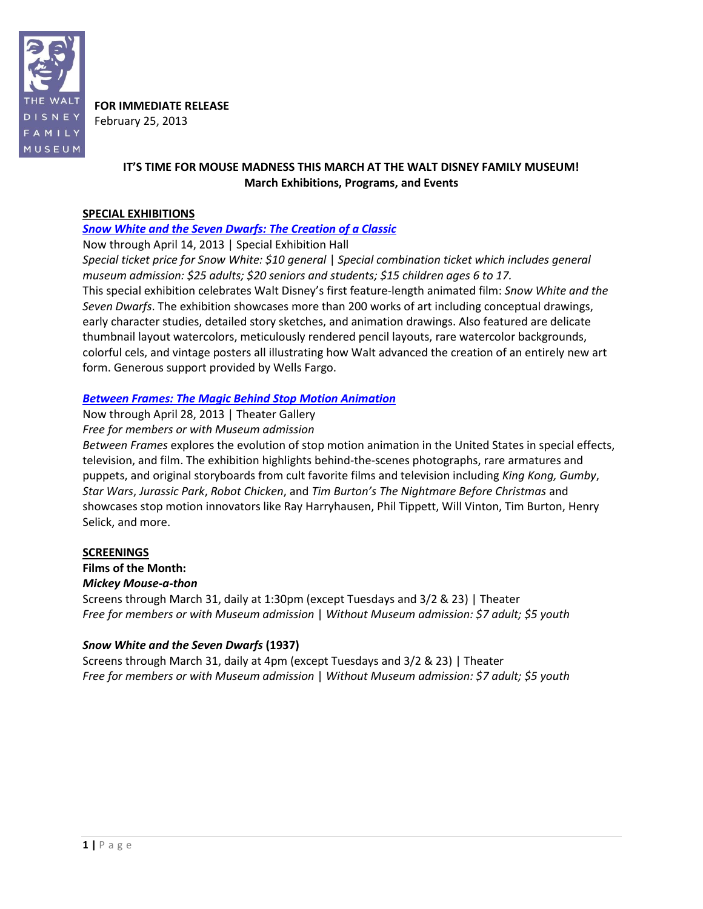

**FOR IMMEDIATE RELEASE** February 25, 2013

## **IT'S TIME FOR MOUSE MADNESS THIS MARCH AT THE WALT DISNEY FAMILY MUSEUM! March Exhibitions, Programs, and Events**

## **SPECIAL EXHIBITIONS**

## *Snow White and the Seven [Dwarfs: The Creation of a Classic](http://www.waltdisney.org/snow-white)*

Now through April 14, 2013 | Special Exhibition Hall

*Special ticket price for Snow White: \$10 general* | *Special combination ticket which includes general museum admission: \$25 adults; \$20 seniors and students; \$15 children ages 6 to 17.* This special exhibition celebrates Walt Disney's first feature-length animated film: *Snow White and the Seven Dwarfs*. The exhibition showcases more than 200 works of art including conceptual drawings, early character studies, detailed story sketches, and animation drawings. Also featured are delicate thumbnail layout watercolors, meticulously rendered pencil layouts, rare watercolor backgrounds, colorful cels, and vintage posters all illustrating how Walt advanced the creation of an entirely new art form. Generous support provided by Wells Fargo.

## *[Between Frames: The Magic Behind](http://www.waltdisney.org/between-frames) Stop Motion Animation*

Now through April 28, 2013 | Theater Gallery *Free for members or with Museum admission*

*Between Frames* explores the evolution of stop motion animation in the United States in special effects, television, and film. The exhibition highlights behind-the-scenes photographs, rare armatures and puppets, and original storyboards from cult favorite films and television including *King Kong, Gumby*, *Star Wars*, *Jurassic Park*, *Robot Chicken*, and *Tim Burton's The Nightmare Before Christmas* and showcases stop motion innovators like Ray Harryhausen, Phil Tippett, Will Vinton, Tim Burton, Henry Selick, and more.

## **SCREENINGS**

**Films of the Month:**

*Mickey Mouse-a-thon*

Screens through March 31, daily at 1:30pm (except Tuesdays and 3/2 & 23) | Theater *Free for members or with Museum admission* | *Without Museum admission: \$7 adult; \$5 youth*

## *Snow White and the Seven Dwarfs* **(1937)**

Screens through March 31, daily at 4pm (except Tuesdays and 3/2 & 23) | Theater *Free for members or with Museum admission* | *Without Museum admission: \$7 adult; \$5 youth*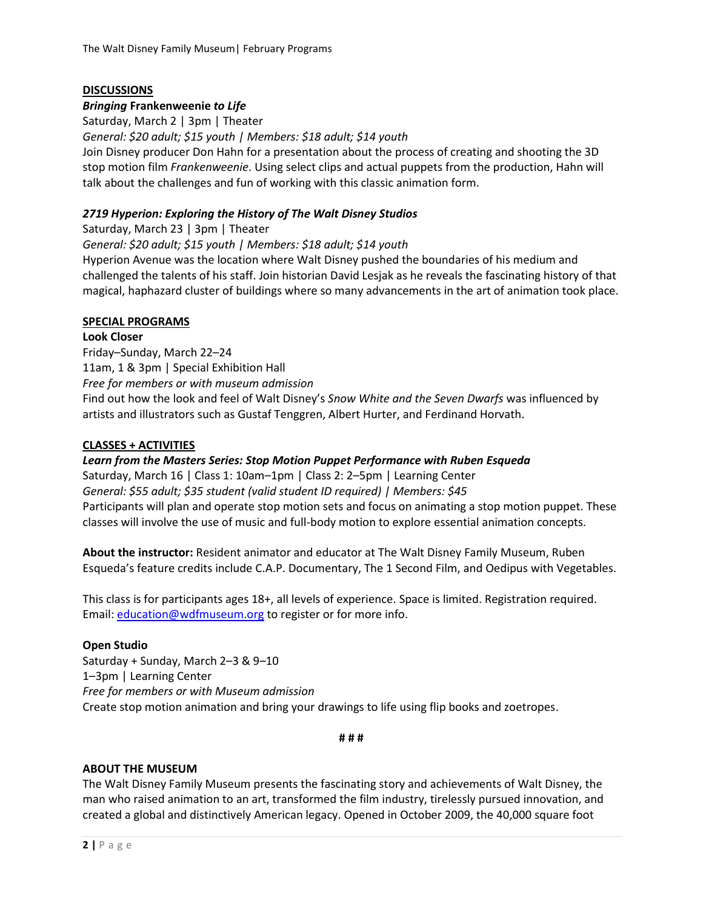## **DISCUSSIONS**

#### *Bringing* **Frankenweenie** *to Life*

Saturday, March 2 | 3pm | Theater

*General: \$20 adult; \$15 youth | Members: \$18 adult; \$14 youth*

Join Disney producer Don Hahn for a presentation about the process of creating and shooting the 3D stop motion film *Frankenweenie*. Using select clips and actual puppets from the production, Hahn will talk about the challenges and fun of working with this classic animation form.

#### *2719 Hyperion: Exploring the History of The Walt Disney Studios*

Saturday, March 23 | 3pm | Theater

*General: \$20 adult; \$15 youth | Members: \$18 adult; \$14 youth*

Hyperion Avenue was the location where Walt Disney pushed the boundaries of his medium and challenged the talents of his staff. Join historian David Lesjak as he reveals the fascinating history of that magical, haphazard cluster of buildings where so many advancements in the art of animation took place.

#### **SPECIAL PROGRAMS**

#### **Look Closer**

Friday–Sunday, March 22–24 11am, 1 & 3pm | Special Exhibition Hall *Free for members or with museum admission* Find out how the look and feel of Walt Disney's *Snow White and the Seven Dwarfs* was influenced by artists and illustrators such as Gustaf Tenggren, Albert Hurter, and Ferdinand Horvath.

#### **CLASSES + ACTIVITIES**

*Learn from the Masters Series: Stop Motion Puppet Performance with Ruben Esqueda* Saturday, March 16 | Class 1: 10am–1pm | Class 2: 2–5pm | Learning Center *General: \$55 adult; \$35 student (valid student ID required) | Members: \$45* Participants will plan and operate stop motion sets and focus on animating a stop motion puppet. These classes will involve the use of music and full-body motion to explore essential animation concepts.

**About the instructor:** Resident animator and educator at The Walt Disney Family Museum, Ruben Esqueda's feature credits include C.A.P. Documentary, The 1 Second Film, and Oedipus with Vegetables.

This class is for participants ages 18+, all levels of experience. Space is limited. Registration required. Email: [education@wdfmuseum.org](mailto:education@wdfmuseum.org) to register or for more info.

#### **Open Studio**

Saturday + Sunday, March 2–3 & 9–10 1–3pm | Learning Center *Free for members or with Museum admission* Create stop motion animation and bring your drawings to life using flip books and zoetropes.

**# # #**

#### **ABOUT THE MUSEUM**

The Walt Disney Family Museum presents the fascinating story and achievements of Walt Disney, the man who raised animation to an art, transformed the film industry, tirelessly pursued innovation, and created a global and distinctively American legacy. Opened in October 2009, the 40,000 square foot